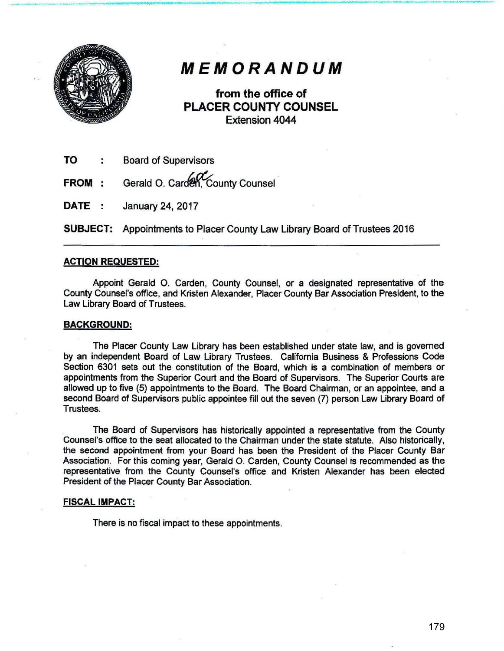

## *MEMORANDUM*

\_\_ ..........\_\_.\_ \_ \_\_...\_.------ ---------------------------......... .........\_\_

from the office of PLACER COUNTY COUNSEL Extension 4044

- TO Board of Supervisors
- FROM : Gerald O. Carden, County Counsel
- DATE: January 24, 2017

SUBJECT: Appointments to Placer County Law Library Board of Trustees 2016

## ACTION REqUESTED:

Appoint Gerald O. Carden, County Counsel, or a designated representative of the County Counsel's office, and Kristen Alexander, Placer County Bar Association President, to the Law Library Board of Trustees.

## BACKGROUND:

The Placer County Law Library has been established under state law, and is governed by an independent Board of Law Library Trustees. California Business & Professions Code Section 6301 sets out the constitution of the Board, which is a combination of members or appointments from the Superior Court and the Board of Supervisors. The Superior Courts are allowed up to five (5) appointments to the Board. The Board Chairman, or an appointee, and a second Board of Supervisors public appointee fill out the seven (7) person Law Library Board of Trustees.

The Board of Supervisors has historically appointed a representative from the County Counsel's office to the seat allocated to the Chairman under the state statute. Also historically, the second appointment from your Board has been the President of the Placer County Bar Association. For this coming year, Gerald 0. Carden, County Counsel is recommended as the representative from the County Counsel's office and Kristen Alexander has been elected President of the Placer County Bar Association.

## FISCAL IMPACT:

There is no fiscal impact to these appointments.